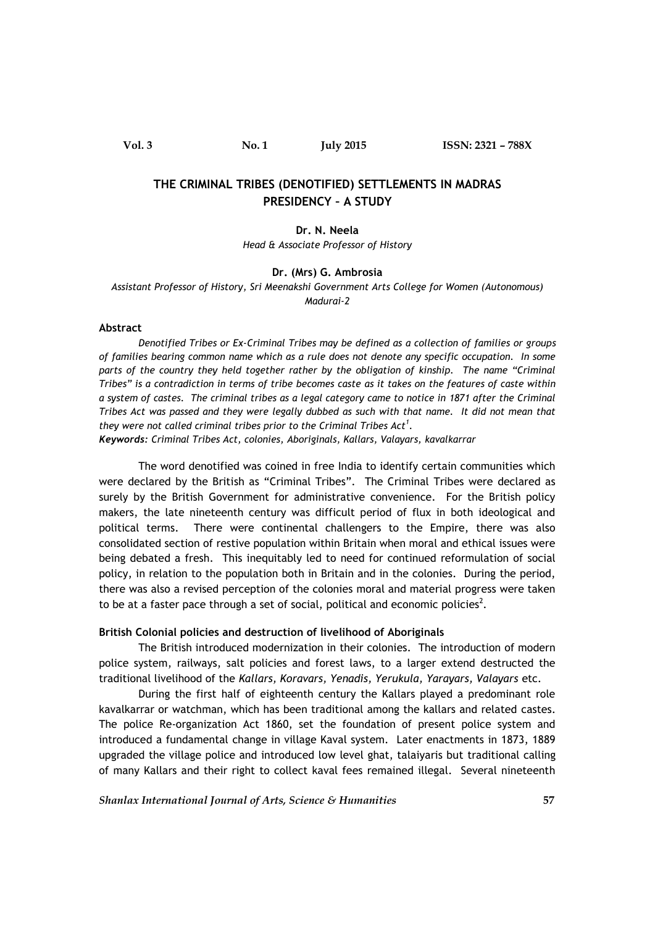# **THE CRIMINAL TRIBES (DENOTIFIED) SETTLEMENTS IN MADRAS PRESIDENCY – A STUDY**

**Dr. N. Neela** *Head & Associate Professor of History*

### **Dr. (Mrs) G. Ambrosia**

*Assistant Professor of History, Sri Meenakshi Government Arts College for Women (Autonomous) Madurai-2*

### **Abstract**

*Denotified Tribes or Ex-Criminal Tribes may be defined as a collection of families or groups of families bearing common name which as a rule does not denote any specific occupation. In some parts of the country they held together rather by the obligation of kinship. The name "Criminal Tribes" is a contradiction in terms of tribe becomes caste as it takes on the features of caste within a system of castes. The criminal tribes as a legal category came to notice in 1871 after the Criminal Tribes Act was passed and they were legally dubbed as such with that name. It did not mean that they were not called criminal tribes prior to the Criminal Tribes Act<sup>1</sup>.*

*Keywords: Criminal Tribes Act, colonies, Aboriginals, Kallars, Valayars, kavalkarrar*

The word denotified was coined in free India to identify certain communities which were declared by the British as "Criminal Tribes". The Criminal Tribes were declared as surely by the British Government for administrative convenience. For the British policy makers, the late nineteenth century was difficult period of flux in both ideological and political terms. There were continental challengers to the Empire, there was also consolidated section of restive population within Britain when moral and ethical issues were being debated a fresh. This inequitably led to need for continued reformulation of social policy, in relation to the population both in Britain and in the colonies. During the period, there was also a revised perception of the colonies moral and material progress were taken to be at a faster pace through a set of social, political and economic policies<sup>2</sup>.

#### **British Colonial policies and destruction of livelihood of Aboriginals**

The British introduced modernization in their colonies. The introduction of modern police system, railways, salt policies and forest laws, to a larger extend destructed the traditional livelihood of the *Kallars, Koravars, Yenadis, Yerukula, Yarayars, Valayars* etc.

During the first half of eighteenth century the Kallars played a predominant role kavalkarrar or watchman, which has been traditional among the kallars and related castes. The police Re-organization Act 1860, set the foundation of present police system and introduced a fundamental change in village Kaval system. Later enactments in 1873, 1889 upgraded the village police and introduced low level ghat, talaiyaris but traditional calling of many Kallars and their right to collect kaval fees remained illegal. Several nineteenth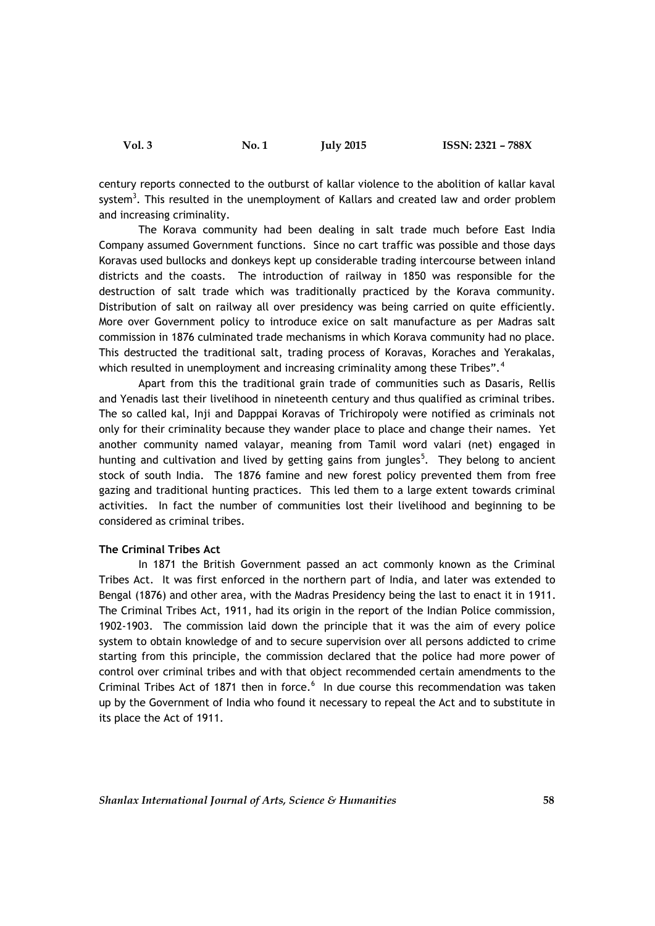century reports connected to the outburst of kallar violence to the abolition of kallar kaval system<sup>3</sup>. This resulted in the unemployment of Kallars and created law and order problem and increasing criminality.

The Korava community had been dealing in salt trade much before East India Company assumed Government functions. Since no cart traffic was possible and those days Koravas used bullocks and donkeys kept up considerable trading intercourse between inland districts and the coasts. The introduction of railway in 1850 was responsible for the destruction of salt trade which was traditionally practiced by the Korava community. Distribution of salt on railway all over presidency was being carried on quite efficiently. More over Government policy to introduce exice on salt manufacture as per Madras salt commission in 1876 culminated trade mechanisms in which Korava community had no place. This destructed the traditional salt, trading process of Koravas, Koraches and Yerakalas, which resulted in unemployment and increasing criminality among these Tribes".<sup>4</sup>

Apart from this the traditional grain trade of communities such as Dasaris, Rellis and Yenadis last their livelihood in nineteenth century and thus qualified as criminal tribes. The so called kal, Inji and Dapppai Koravas of Trichiropoly were notified as criminals not only for their criminality because they wander place to place and change their names. Yet another community named valayar, meaning from Tamil word valari (net) engaged in hunting and cultivation and lived by getting gains from jungles<sup>5</sup>. They belong to ancient stock of south India. The 1876 famine and new forest policy prevented them from free gazing and traditional hunting practices. This led them to a large extent towards criminal activities. In fact the number of communities lost their livelihood and beginning to be considered as criminal tribes.

## **The Criminal Tribes Act**

In 1871 the British Government passed an act commonly known as the Criminal Tribes Act. It was first enforced in the northern part of India, and later was extended to Bengal (1876) and other area, with the Madras Presidency being the last to enact it in 1911. The Criminal Tribes Act, 1911, had its origin in the report of the Indian Police commission, 1902-1903. The commission laid down the principle that it was the aim of every police system to obtain knowledge of and to secure supervision over all persons addicted to crime starting from this principle, the commission declared that the police had more power of control over criminal tribes and with that object recommended certain amendments to the Criminal Tribes Act of 1871 then in force.<sup>6</sup> In due course this recommendation was taken up by the Government of India who found it necessary to repeal the Act and to substitute in its place the Act of 1911.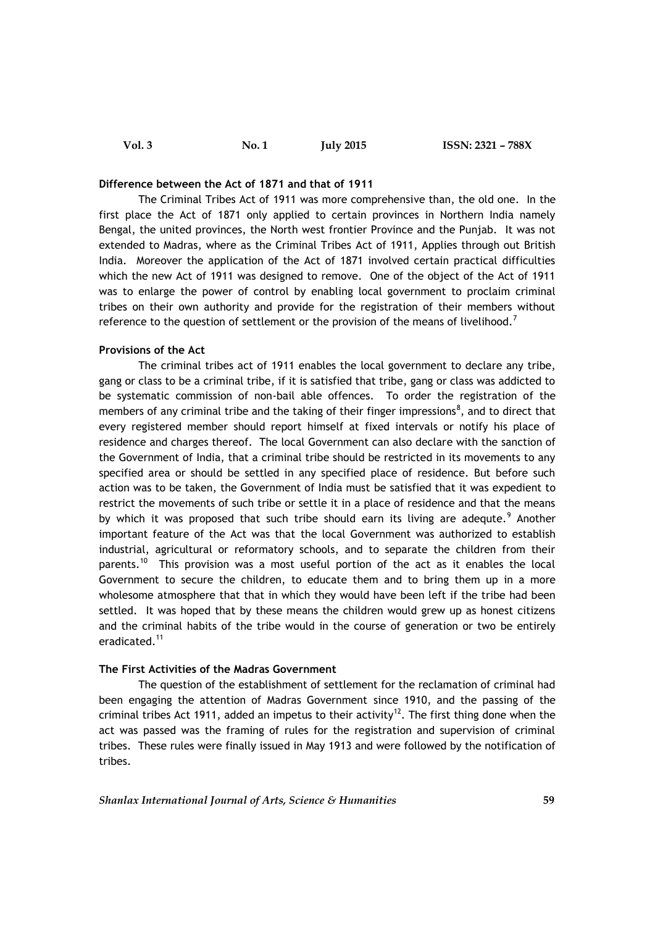| Vol. 3 | No. 1 | <b>July 2015</b> |  |
|--------|-------|------------------|--|
|--------|-------|------------------|--|

### **Difference between the Act of 1871 and that of 1911**

The Criminal Tribes Act of 1911 was more comprehensive than, the old one. In the first place the Act of 1871 only applied to certain provinces in Northern India namely Bengal, the united provinces, the North west frontier Province and the Punjab. It was not extended to Madras, where as the Criminal Tribes Act of 1911, Applies through out British India. Moreover the application of the Act of 1871 involved certain practical difficulties which the new Act of 1911 was designed to remove. One of the object of the Act of 1911 was to enlarge the power of control by enabling local government to proclaim criminal tribes on their own authority and provide for the registration of their members without reference to the question of settlement or the provision of the means of livelihood.<sup>7</sup>

**Vol. 3 No. 1 July 2015 ISSN: 2321 – 788X**

## **Provisions of the Act**

The criminal tribes act of 1911 enables the local government to declare any tribe, gang or class to be a criminal tribe, if it is satisfied that tribe, gang or class was addicted to be systematic commission of non-bail able offences. To order the registration of the members of any criminal tribe and the taking of their finger impressions<sup>8</sup>, and to direct that every registered member should report himself at fixed intervals or notify his place of residence and charges thereof. The local Government can also declare with the sanction of the Government of India, that a criminal tribe should be restricted in its movements to any specified area or should be settled in any specified place of residence. But before such action was to be taken, the Government of India must be satisfied that it was expedient to restrict the movements of such tribe or settle it in a place of residence and that the means by which it was proposed that such tribe should earn its living are adequte.<sup>9</sup> Another important feature of the Act was that the local Government was authorized to establish industrial, agricultural or reformatory schools, and to separate the children from their parents.<sup>10</sup> This provision was a most useful portion of the act as it enables the local Government to secure the children, to educate them and to bring them up in a more wholesome atmosphere that that in which they would have been left if the tribe had been settled. It was hoped that by these means the children would grew up as honest citizens and the criminal habits of the tribe would in the course of generation or two be entirely eradicated.<sup>11</sup>

# **The First Activities of the Madras Government**

The question of the establishment of settlement for the reclamation of criminal had been engaging the attention of Madras Government since 1910, and the passing of the criminal tribes Act 1911, added an impetus to their activity<sup>12</sup>. The first thing done when the act was passed was the framing of rules for the registration and supervision of criminal tribes. These rules were finally issued in May 1913 and were followed by the notification of tribes.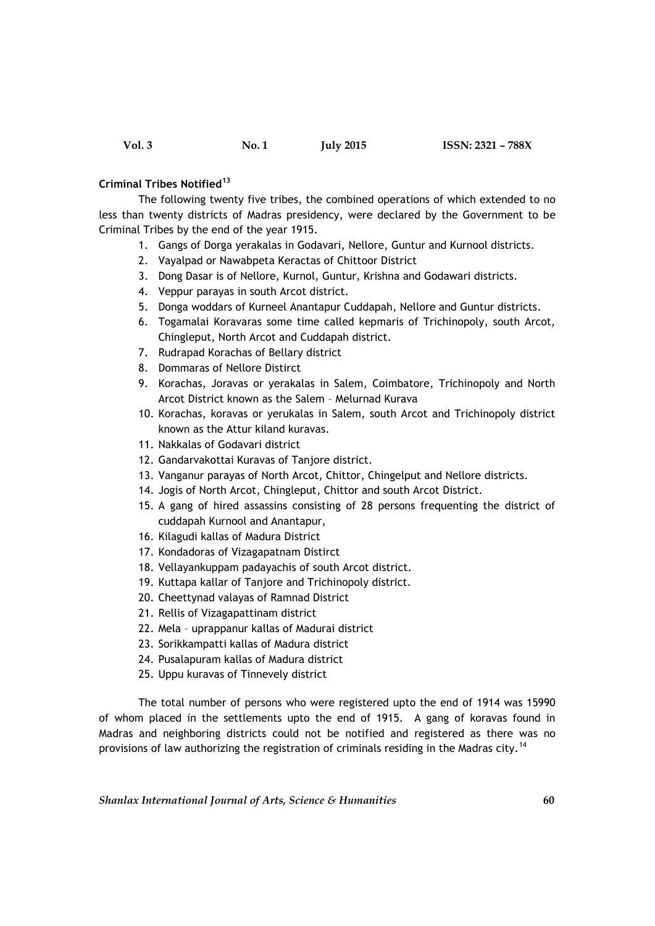## **Criminal Tribes Notified<sup>13</sup>**

The following twenty five tribes, the combined operations of which extended to no less than twenty districts of Madras presidency, were declared by the Government to be Criminal Tribes by the end of the year 1915.

- 1. Gangs of Dorga yerakalas in Godavari, Nellore, Guntur and Kurnool districts.
- 2. Vayalpad or Nawabpeta Keractas of Chittoor District
- 3. Dong Dasar is of Nellore, Kurnol, Guntur, Krishna and Godawari districts.
- 4. Veppur parayas in south Arcot district.
- 5. Donga woddars of Kurneel Anantapur Cuddapah, Nellore and Guntur districts.
- 6. Togamalai Koravaras some time called kepmaris of Trichinopoly, south Arcot, Chingleput, North Arcot and Cuddapah district.
- 7. Rudrapad Korachas of Bellary district
- 8. Dommaras of Nellore Distirct
- 9. Korachas, Joravas or yerakalas in Salem, Coimbatore, Trichinopoly and North Arcot District known as the Salem – Melurnad Kurava
- 10. Korachas, koravas or yerukalas in Salem, south Arcot and Trichinopoly district known as the Attur kiland kuravas.
- 11. Nakkalas of Godavari district
- 12. Gandarvakottai Kuravas of Tanjore district.
- 13. Vanganur parayas of North Arcot, Chittor, Chingelput and Nellore districts.
- 14. Jogis of North Arcot, Chingleput, Chittor and south Arcot District.
- 15. A gang of hired assassins consisting of 28 persons frequenting the district of cuddapah Kurnool and Anantapur,
- 16. Kilagudi kallas of Madura District
- 17. Kondadoras of Vizagapatnam Distirct
- 18. Vellayankuppam padayachis of south Arcot district.
- 19. Kuttapa kallar of Tanjore and Trichinopoly district.
- 20. Cheettynad valayas of Ramnad District
- 21. Rellis of Vizagapattinam district
- 22. Mela uprappanur kallas of Madurai district
- 23. Sorikkampatti kallas of Madura district
- 24. Pusalapuram kallas of Madura district
- 25. Uppu kuravas of Tinnevely district

The total number of persons who were registered upto the end of 1914 was 15990 of whom placed in the settlements upto the end of 1915. A gang of koravas found in Madras and neighboring districts could not be notified and registered as there was no provisions of law authorizing the registration of criminals residing in the Madras city.<sup>14</sup>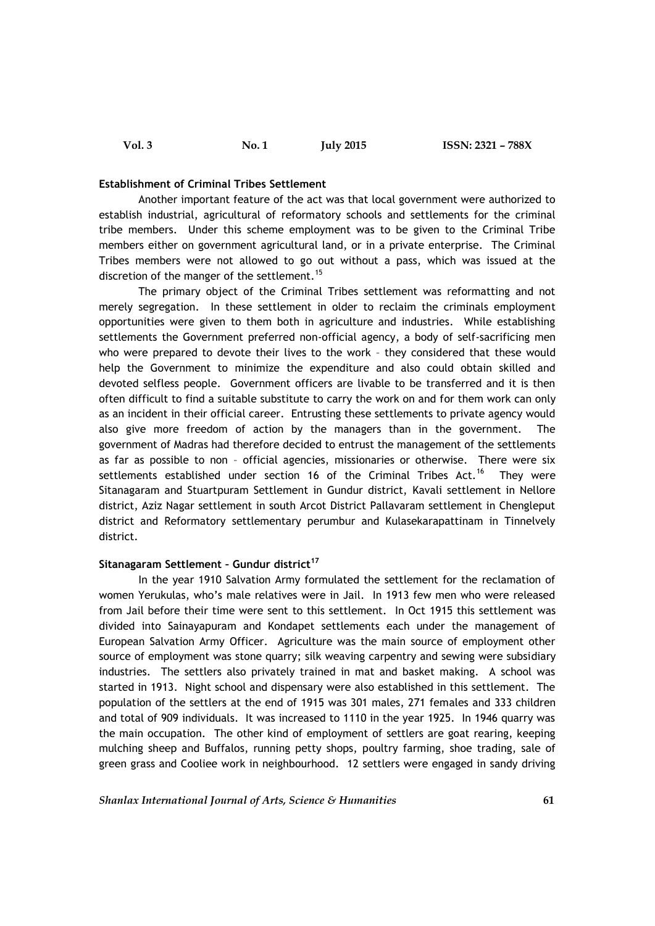#### **Establishment of Criminal Tribes Settlement**

Another important feature of the act was that local government were authorized to establish industrial, agricultural of reformatory schools and settlements for the criminal tribe members. Under this scheme employment was to be given to the Criminal Tribe members either on government agricultural land, or in a private enterprise. The Criminal Tribes members were not allowed to go out without a pass, which was issued at the discretion of the manger of the settlement.<sup>15</sup>

The primary object of the Criminal Tribes settlement was reformatting and not merely segregation. In these settlement in older to reclaim the criminals employment opportunities were given to them both in agriculture and industries. While establishing settlements the Government preferred non-official agency, a body of self-sacrificing men who were prepared to devote their lives to the work – they considered that these would help the Government to minimize the expenditure and also could obtain skilled and devoted selfless people. Government officers are livable to be transferred and it is then often difficult to find a suitable substitute to carry the work on and for them work can only as an incident in their official career. Entrusting these settlements to private agency would also give more freedom of action by the managers than in the government. The government of Madras had therefore decided to entrust the management of the settlements as far as possible to non – official agencies, missionaries or otherwise. There were six settlements established under section 16 of the Criminal Tribes Act.<sup>16</sup> Thev were Sitanagaram and Stuartpuram Settlement in Gundur district, Kavali settlement in Nellore district, Aziz Nagar settlement in south Arcot District Pallavaram settlement in Chengleput district and Reformatory settlementary perumbur and Kulasekarapattinam in Tinnelvely district.

## **Sitanagaram Settlement – Gundur district<sup>17</sup>**

In the year 1910 Salvation Army formulated the settlement for the reclamation of women Yerukulas, who's male relatives were in Jail. In 1913 few men who were released from Jail before their time were sent to this settlement. In Oct 1915 this settlement was divided into Sainayapuram and Kondapet settlements each under the management of European Salvation Army Officer. Agriculture was the main source of employment other source of employment was stone quarry; silk weaving carpentry and sewing were subsidiary industries. The settlers also privately trained in mat and basket making. A school was started in 1913. Night school and dispensary were also established in this settlement. The population of the settlers at the end of 1915 was 301 males, 271 females and 333 children and total of 909 individuals. It was increased to 1110 in the year 1925. In 1946 quarry was the main occupation. The other kind of employment of settlers are goat rearing, keeping mulching sheep and Buffalos, running petty shops, poultry farming, shoe trading, sale of green grass and Cooliee work in neighbourhood. 12 settlers were engaged in sandy driving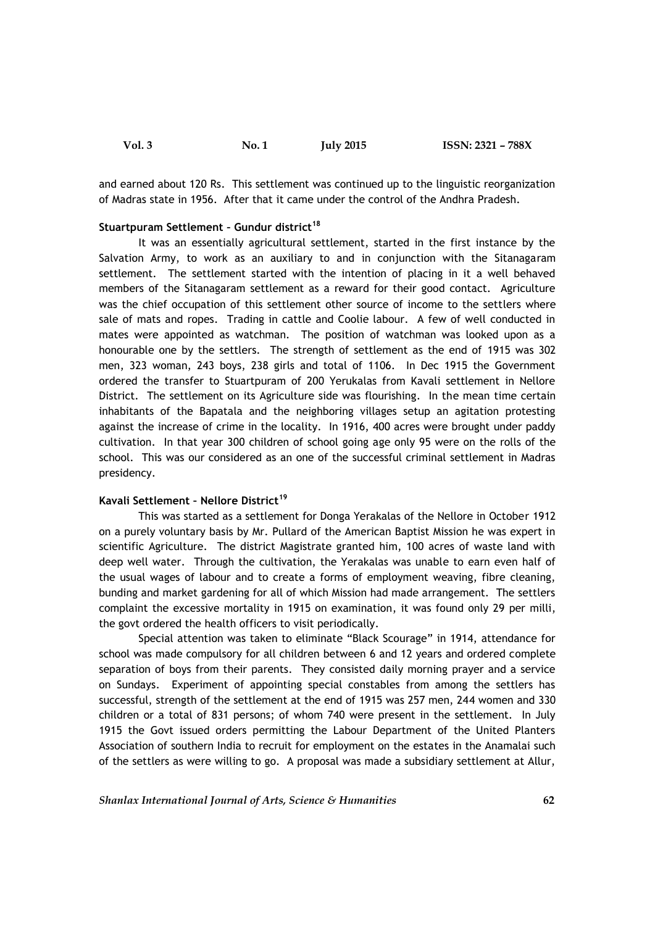and earned about 120 Rs. This settlement was continued up to the linguistic reorganization of Madras state in 1956. After that it came under the control of the Andhra Pradesh.

# **Stuartpuram Settlement – Gundur district<sup>18</sup>**

It was an essentially agricultural settlement, started in the first instance by the Salvation Army, to work as an auxiliary to and in conjunction with the Sitanagaram settlement. The settlement started with the intention of placing in it a well behaved members of the Sitanagaram settlement as a reward for their good contact. Agriculture was the chief occupation of this settlement other source of income to the settlers where sale of mats and ropes. Trading in cattle and Coolie labour. A few of well conducted in mates were appointed as watchman. The position of watchman was looked upon as a honourable one by the settlers. The strength of settlement as the end of 1915 was 302 men, 323 woman, 243 boys, 238 girls and total of 1106. In Dec 1915 the Government ordered the transfer to Stuartpuram of 200 Yerukalas from Kavali settlement in Nellore District. The settlement on its Agriculture side was flourishing. In the mean time certain inhabitants of the Bapatala and the neighboring villages setup an agitation protesting against the increase of crime in the locality. In 1916, 400 acres were brought under paddy cultivation. In that year 300 children of school going age only 95 were on the rolls of the school. This was our considered as an one of the successful criminal settlement in Madras presidency.

### **Kavali Settlement – Nellore District<sup>19</sup>**

This was started as a settlement for Donga Yerakalas of the Nellore in October 1912 on a purely voluntary basis by Mr. Pullard of the American Baptist Mission he was expert in scientific Agriculture. The district Magistrate granted him, 100 acres of waste land with deep well water. Through the cultivation, the Yerakalas was unable to earn even half of the usual wages of labour and to create a forms of employment weaving, fibre cleaning, bunding and market gardening for all of which Mission had made arrangement. The settlers complaint the excessive mortality in 1915 on examination, it was found only 29 per milli, the govt ordered the health officers to visit periodically.

Special attention was taken to eliminate "Black Scourage" in 1914, attendance for school was made compulsory for all children between 6 and 12 years and ordered complete separation of boys from their parents. They consisted daily morning prayer and a service on Sundays. Experiment of appointing special constables from among the settlers has successful, strength of the settlement at the end of 1915 was 257 men, 244 women and 330 children or a total of 831 persons; of whom 740 were present in the settlement. In July 1915 the Govt issued orders permitting the Labour Department of the United Planters Association of southern India to recruit for employment on the estates in the Anamalai such of the settlers as were willing to go. A proposal was made a subsidiary settlement at Allur,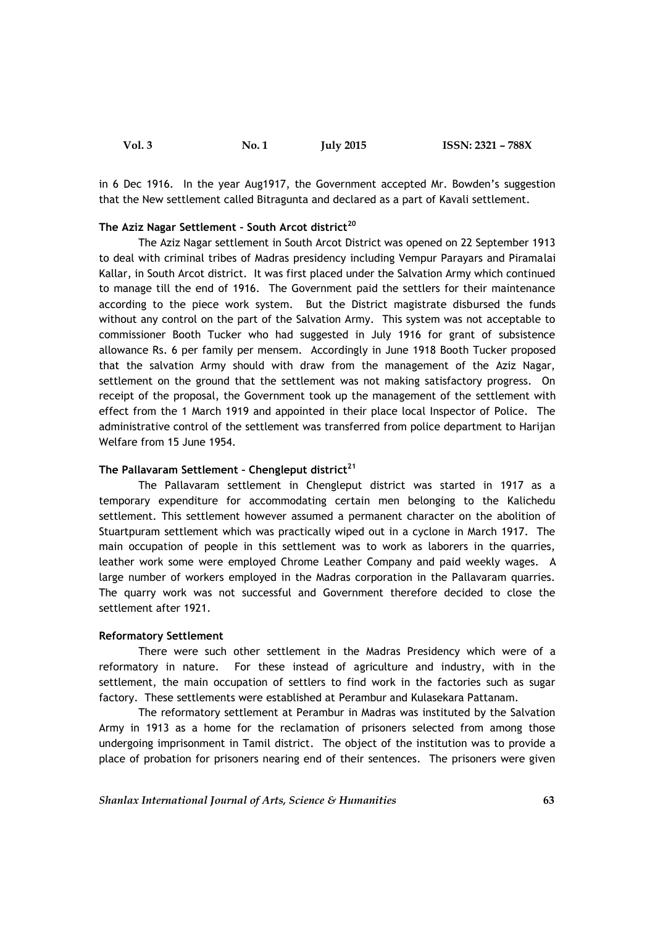| <b>Vol. 3</b> | No. 1 | <b>July 2015</b> | ISSN: 2321 - 788X |  |
|---------------|-------|------------------|-------------------|--|
|---------------|-------|------------------|-------------------|--|

in 6 Dec 1916. In the year Aug1917, the Government accepted Mr. Bowden's suggestion that the New settlement called Bitragunta and declared as a part of Kavali settlement.

# **The Aziz Nagar Settlement – South Arcot district<sup>20</sup>**

The Aziz Nagar settlement in South Arcot District was opened on 22 September 1913 to deal with criminal tribes of Madras presidency including Vempur Parayars and Piramalai Kallar, in South Arcot district. It was first placed under the Salvation Army which continued to manage till the end of 1916. The Government paid the settlers for their maintenance according to the piece work system. But the District magistrate disbursed the funds without any control on the part of the Salvation Army. This system was not acceptable to commissioner Booth Tucker who had suggested in July 1916 for grant of subsistence allowance Rs. 6 per family per mensem. Accordingly in June 1918 Booth Tucker proposed that the salvation Army should with draw from the management of the Aziz Nagar, settlement on the ground that the settlement was not making satisfactory progress. On receipt of the proposal, the Government took up the management of the settlement with effect from the 1 March 1919 and appointed in their place local Inspector of Police. The administrative control of the settlement was transferred from police department to Harijan Welfare from 15 June 1954.

# **The Pallavaram Settlement – Chengleput district<sup>21</sup>**

The Pallavaram settlement in Chengleput district was started in 1917 as a temporary expenditure for accommodating certain men belonging to the Kalichedu settlement. This settlement however assumed a permanent character on the abolition of Stuartpuram settlement which was practically wiped out in a cyclone in March 1917. The main occupation of people in this settlement was to work as laborers in the quarries, leather work some were employed Chrome Leather Company and paid weekly wages. A large number of workers employed in the Madras corporation in the Pallavaram quarries. The quarry work was not successful and Government therefore decided to close the settlement after 1921.

#### **Reformatory Settlement**

There were such other settlement in the Madras Presidency which were of a reformatory in nature. For these instead of agriculture and industry, with in the settlement, the main occupation of settlers to find work in the factories such as sugar factory. These settlements were established at Perambur and Kulasekara Pattanam.

The reformatory settlement at Perambur in Madras was instituted by the Salvation Army in 1913 as a home for the reclamation of prisoners selected from among those undergoing imprisonment in Tamil district. The object of the institution was to provide a place of probation for prisoners nearing end of their sentences. The prisoners were given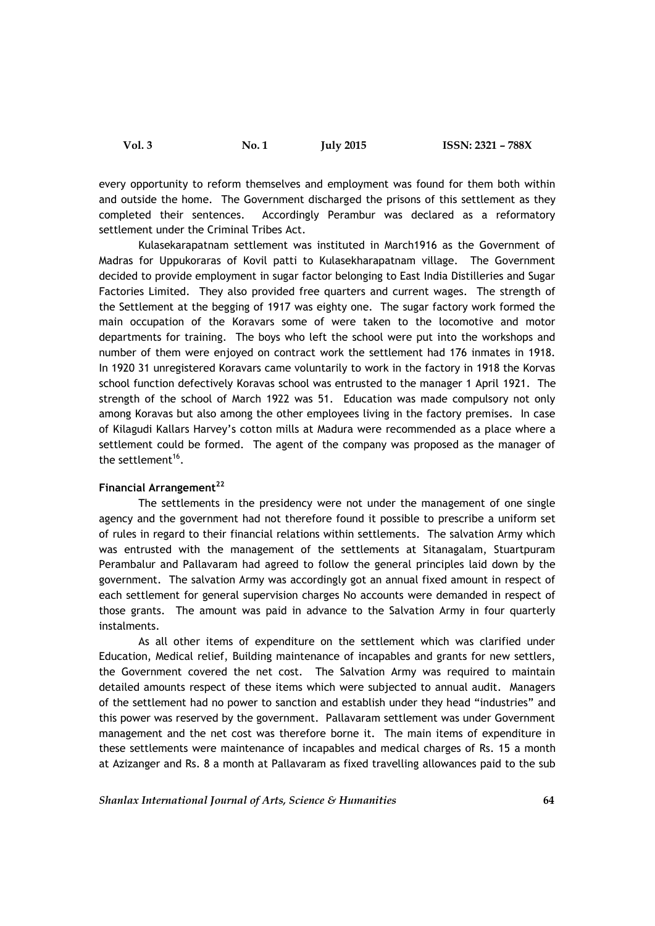every opportunity to reform themselves and employment was found for them both within and outside the home. The Government discharged the prisons of this settlement as they completed their sentences. Accordingly Perambur was declared as a reformatory settlement under the Criminal Tribes Act.

Kulasekarapatnam settlement was instituted in March1916 as the Government of Madras for Uppukoraras of Kovil patti to Kulasekharapatnam village. The Government decided to provide employment in sugar factor belonging to East India Distilleries and Sugar Factories Limited. They also provided free quarters and current wages. The strength of the Settlement at the begging of 1917 was eighty one. The sugar factory work formed the main occupation of the Koravars some of were taken to the locomotive and motor departments for training. The boys who left the school were put into the workshops and number of them were enjoyed on contract work the settlement had 176 inmates in 1918. In 1920 31 unregistered Koravars came voluntarily to work in the factory in 1918 the Korvas school function defectively Koravas school was entrusted to the manager 1 April 1921. The strength of the school of March 1922 was 51. Education was made compulsory not only among Koravas but also among the other employees living in the factory premises. In case of Kilagudi Kallars Harvey's cotton mills at Madura were recommended as a place where a settlement could be formed. The agent of the company was proposed as the manager of the settlement $16$ .

# **Financial Arrangement<sup>22</sup>**

The settlements in the presidency were not under the management of one single agency and the government had not therefore found it possible to prescribe a uniform set of rules in regard to their financial relations within settlements. The salvation Army which was entrusted with the management of the settlements at Sitanagalam, Stuartpuram Perambalur and Pallavaram had agreed to follow the general principles laid down by the government. The salvation Army was accordingly got an annual fixed amount in respect of each settlement for general supervision charges No accounts were demanded in respect of those grants. The amount was paid in advance to the Salvation Army in four quarterly instalments.

As all other items of expenditure on the settlement which was clarified under Education, Medical relief, Building maintenance of incapables and grants for new settlers, the Government covered the net cost. The Salvation Army was required to maintain detailed amounts respect of these items which were subjected to annual audit. Managers of the settlement had no power to sanction and establish under they head "industries" and this power was reserved by the government. Pallavaram settlement was under Government management and the net cost was therefore borne it. The main items of expenditure in these settlements were maintenance of incapables and medical charges of Rs. 15 a month at Azizanger and Rs. 8 a month at Pallavaram as fixed travelling allowances paid to the sub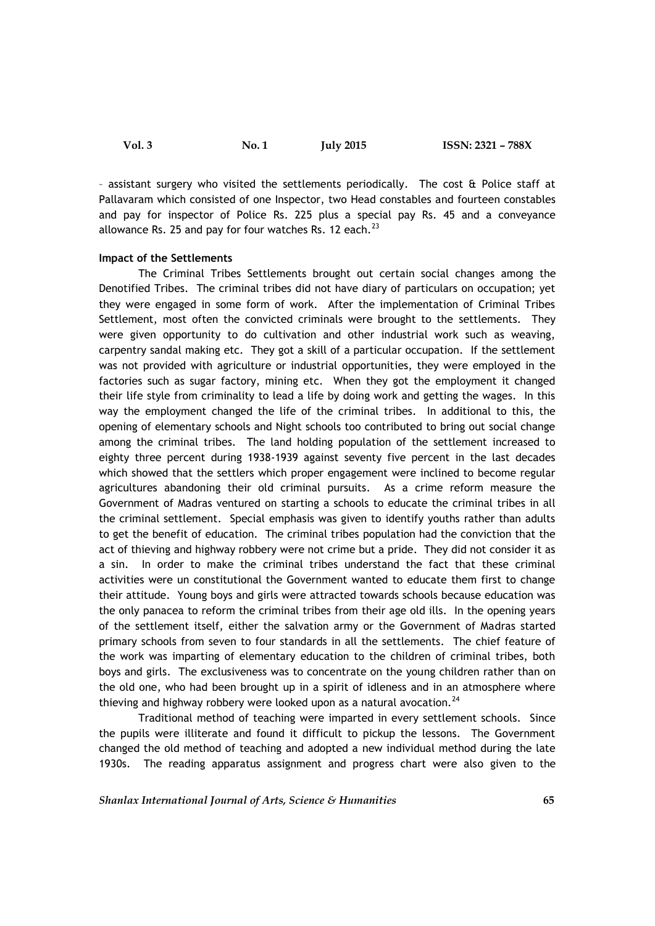– assistant surgery who visited the settlements periodically. The cost & Police staff at Pallavaram which consisted of one Inspector, two Head constables and fourteen constables and pay for inspector of Police Rs. 225 plus a special pay Rs. 45 and a conveyance allowance Rs. 25 and pay for four watches Rs. 12 each. $^{23}$ 

#### **Impact of the Settlements**

The Criminal Tribes Settlements brought out certain social changes among the Denotified Tribes. The criminal tribes did not have diary of particulars on occupation; yet they were engaged in some form of work. After the implementation of Criminal Tribes Settlement, most often the convicted criminals were brought to the settlements. They were given opportunity to do cultivation and other industrial work such as weaving, carpentry sandal making etc. They got a skill of a particular occupation. If the settlement was not provided with agriculture or industrial opportunities, they were employed in the factories such as sugar factory, mining etc. When they got the employment it changed their life style from criminality to lead a life by doing work and getting the wages. In this way the employment changed the life of the criminal tribes. In additional to this, the opening of elementary schools and Night schools too contributed to bring out social change among the criminal tribes. The land holding population of the settlement increased to eighty three percent during 1938-1939 against seventy five percent in the last decades which showed that the settlers which proper engagement were inclined to become regular agricultures abandoning their old criminal pursuits. As a crime reform measure the Government of Madras ventured on starting a schools to educate the criminal tribes in all the criminal settlement. Special emphasis was given to identify youths rather than adults to get the benefit of education. The criminal tribes population had the conviction that the act of thieving and highway robbery were not crime but a pride. They did not consider it as a sin. In order to make the criminal tribes understand the fact that these criminal activities were un constitutional the Government wanted to educate them first to change their attitude. Young boys and girls were attracted towards schools because education was the only panacea to reform the criminal tribes from their age old ills. In the opening years of the settlement itself, either the salvation army or the Government of Madras started primary schools from seven to four standards in all the settlements. The chief feature of the work was imparting of elementary education to the children of criminal tribes, both boys and girls. The exclusiveness was to concentrate on the young children rather than on the old one, who had been brought up in a spirit of idleness and in an atmosphere where thieving and highway robbery were looked upon as a natural avocation. $24$ 

Traditional method of teaching were imparted in every settlement schools. Since the pupils were illiterate and found it difficult to pickup the lessons. The Government changed the old method of teaching and adopted a new individual method during the late 1930s. The reading apparatus assignment and progress chart were also given to the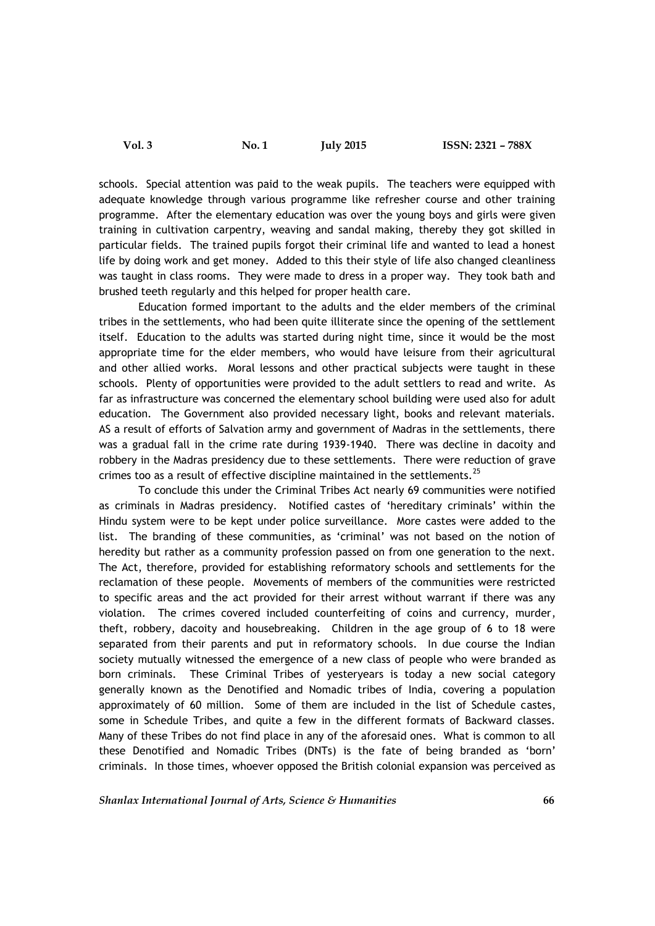schools. Special attention was paid to the weak pupils. The teachers were equipped with adequate knowledge through various programme like refresher course and other training programme. After the elementary education was over the young boys and girls were given training in cultivation carpentry, weaving and sandal making, thereby they got skilled in particular fields. The trained pupils forgot their criminal life and wanted to lead a honest life by doing work and get money. Added to this their style of life also changed cleanliness was taught in class rooms. They were made to dress in a proper way. They took bath and brushed teeth regularly and this helped for proper health care.

Education formed important to the adults and the elder members of the criminal tribes in the settlements, who had been quite illiterate since the opening of the settlement itself. Education to the adults was started during night time, since it would be the most appropriate time for the elder members, who would have leisure from their agricultural and other allied works. Moral lessons and other practical subjects were taught in these schools. Plenty of opportunities were provided to the adult settlers to read and write. As far as infrastructure was concerned the elementary school building were used also for adult education. The Government also provided necessary light, books and relevant materials. AS a result of efforts of Salvation army and government of Madras in the settlements, there was a gradual fall in the crime rate during 1939-1940. There was decline in dacoity and robbery in the Madras presidency due to these settlements. There were reduction of grave crimes too as a result of effective discipline maintained in the settlements.<sup>25</sup>

To conclude this under the Criminal Tribes Act nearly 69 communities were notified as criminals in Madras presidency. Notified castes of 'hereditary criminals' within the Hindu system were to be kept under police surveillance. More castes were added to the list. The branding of these communities, as 'criminal' was not based on the notion of heredity but rather as a community profession passed on from one generation to the next. The Act, therefore, provided for establishing reformatory schools and settlements for the reclamation of these people. Movements of members of the communities were restricted to specific areas and the act provided for their arrest without warrant if there was any violation. The crimes covered included counterfeiting of coins and currency, murder, theft, robbery, dacoity and housebreaking. Children in the age group of 6 to 18 were separated from their parents and put in reformatory schools. In due course the Indian society mutually witnessed the emergence of a new class of people who were branded as born criminals. These Criminal Tribes of yesteryears is today a new social category generally known as the Denotified and Nomadic tribes of India, covering a population approximately of 60 million. Some of them are included in the list of Schedule castes, some in Schedule Tribes, and quite a few in the different formats of Backward classes. Many of these Tribes do not find place in any of the aforesaid ones. What is common to all these Denotified and Nomadic Tribes (DNTs) is the fate of being branded as 'born' criminals. In those times, whoever opposed the British colonial expansion was perceived as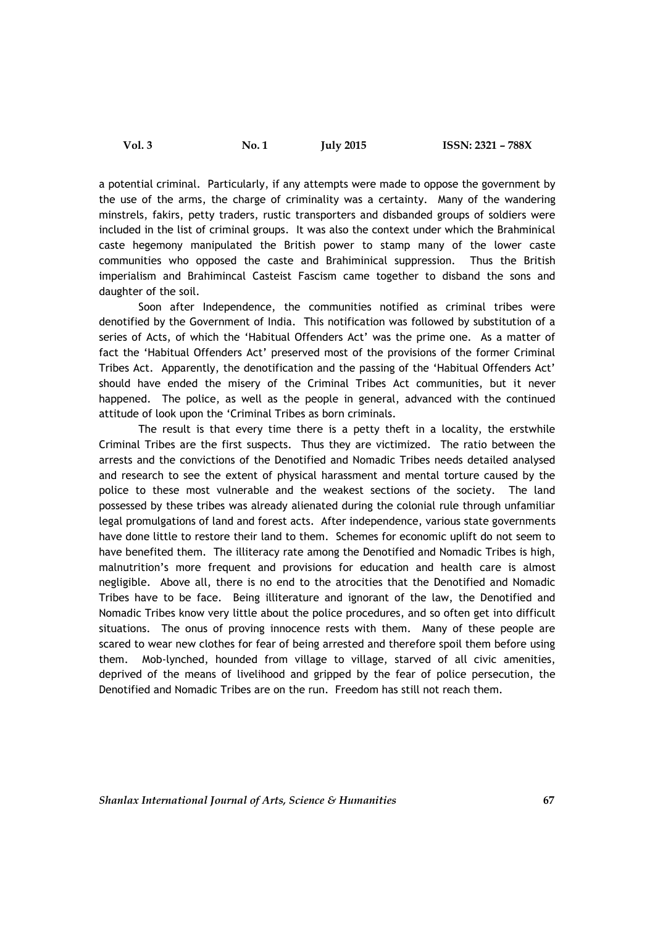a potential criminal. Particularly, if any attempts were made to oppose the government by the use of the arms, the charge of criminality was a certainty. Many of the wandering minstrels, fakirs, petty traders, rustic transporters and disbanded groups of soldiers were included in the list of criminal groups. It was also the context under which the Brahminical caste hegemony manipulated the British power to stamp many of the lower caste communities who opposed the caste and Brahiminical suppression. Thus the British imperialism and Brahimincal Casteist Fascism came together to disband the sons and daughter of the soil.

Soon after Independence, the communities notified as criminal tribes were denotified by the Government of India. This notification was followed by substitution of a series of Acts, of which the 'Habitual Offenders Act' was the prime one. As a matter of fact the 'Habitual Offenders Act' preserved most of the provisions of the former Criminal Tribes Act. Apparently, the denotification and the passing of the 'Habitual Offenders Act' should have ended the misery of the Criminal Tribes Act communities, but it never happened. The police, as well as the people in general, advanced with the continued attitude of look upon the 'Criminal Tribes as born criminals.

The result is that every time there is a petty theft in a locality, the erstwhile Criminal Tribes are the first suspects. Thus they are victimized. The ratio between the arrests and the convictions of the Denotified and Nomadic Tribes needs detailed analysed and research to see the extent of physical harassment and mental torture caused by the police to these most vulnerable and the weakest sections of the society. The land possessed by these tribes was already alienated during the colonial rule through unfamiliar legal promulgations of land and forest acts. After independence, various state governments have done little to restore their land to them. Schemes for economic uplift do not seem to have benefited them. The illiteracy rate among the Denotified and Nomadic Tribes is high, malnutrition's more frequent and provisions for education and health care is almost negligible. Above all, there is no end to the atrocities that the Denotified and Nomadic Tribes have to be face. Being illiterature and ignorant of the law, the Denotified and Nomadic Tribes know very little about the police procedures, and so often get into difficult situations. The onus of proving innocence rests with them. Many of these people are scared to wear new clothes for fear of being arrested and therefore spoil them before using them. Mob-lynched, hounded from village to village, starved of all civic amenities, deprived of the means of livelihood and gripped by the fear of police persecution, the Denotified and Nomadic Tribes are on the run. Freedom has still not reach them.